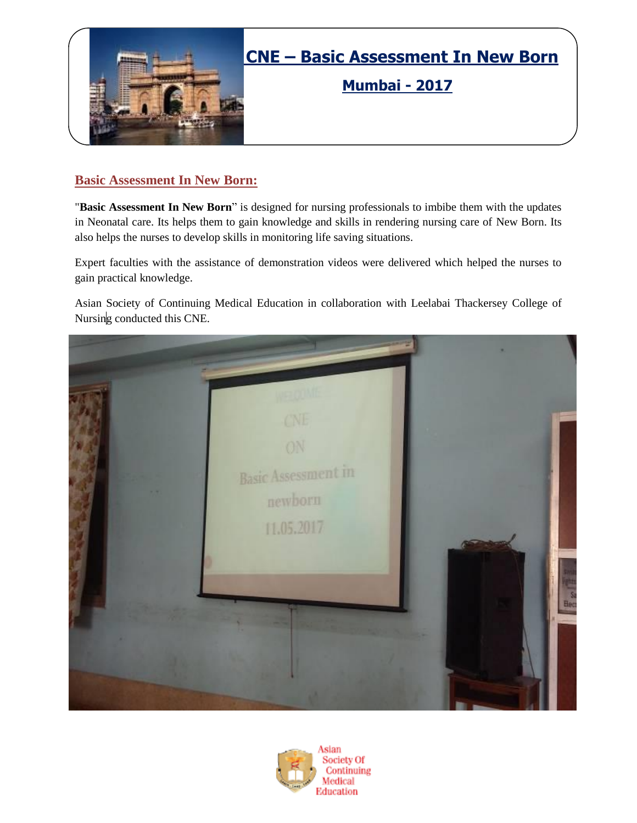

**Mumbai - 2017**

### **Basic Assessment In New Born:**

"**Basic Assessment In New Born**" is designed for nursing professionals to imbibe them with the updates in Neonatal care. Its helps them to gain knowledge and skills in rendering nursing care of New Born. Its also helps the nurses to develop skills in monitoring life saving situations.

Expert faculties with the assistance of demonstration videos were delivered which helped the nurses to gain practical knowledge.

Asian Society of Continuing Medical Education in collaboration with Leelabai Thackersey College of Nursing conducted this CNE.



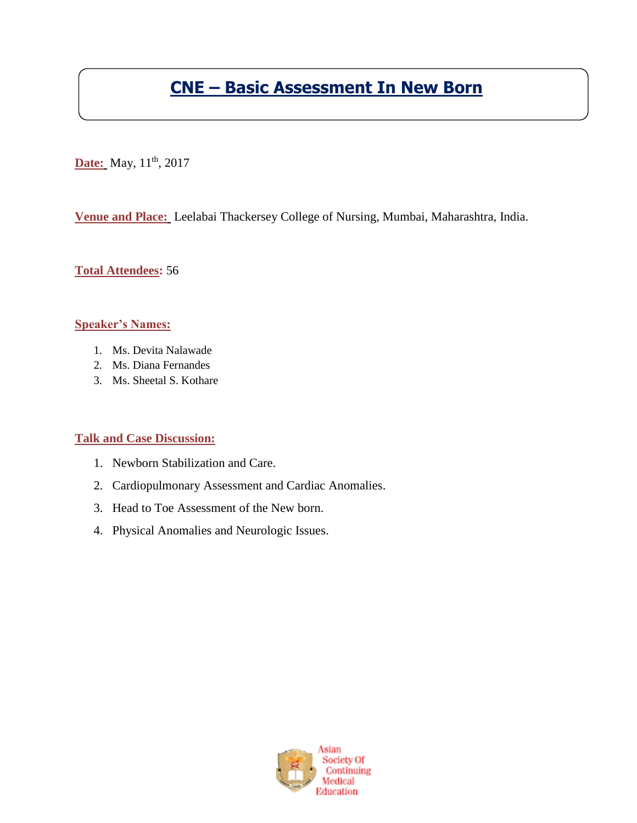# **CNE – Basic Assessment In New Born**

**Date:** May, 11<sup>th</sup>, 2017

**Venue and Place:** Leelabai Thackersey College of Nursing, Mumbai, Maharashtra, India.

**Total Attendees:** 56

#### **Speaker's Names:**

- 1. Ms. Devita Nalawade
- 2. Ms. Diana Fernandes
- 3. Ms. Sheetal S. Kothare

#### **Talk and Case Discussion:**

- 1. Newborn Stabilization and Care.
- 2. Cardiopulmonary Assessment and Cardiac Anomalies.
- 3. Head to Toe Assessment of the New born.
- 4. Physical Anomalies and Neurologic Issues.

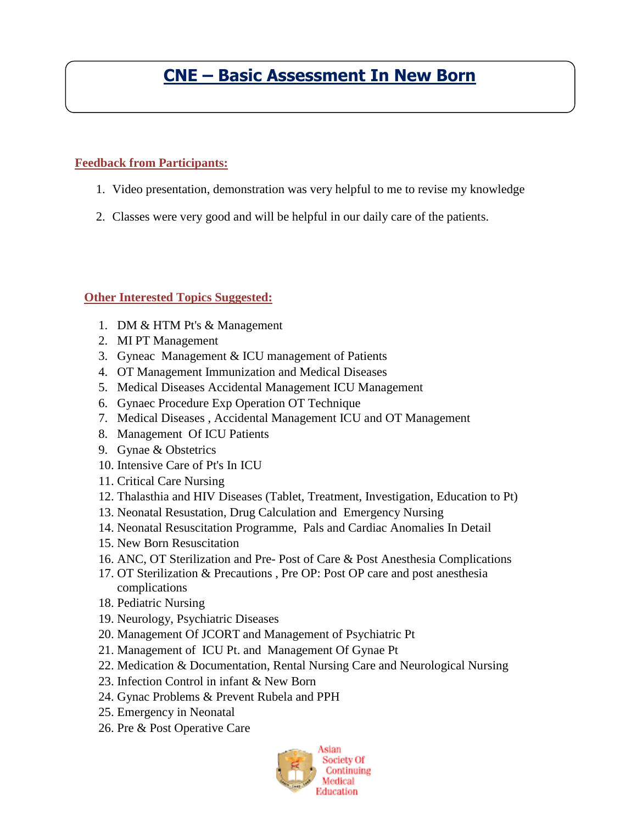## **CNE – Basic Assessment In New Born**

### **Feedback from Participants:**

- 1. Video presentation, demonstration was very helpful to me to revise my knowledge
- 2. Classes were very good and will be helpful in our daily care of the patients.

### **Other Interested Topics Suggested:**

- 1. DM & HTM Pt's & Management
- 2. MI PT Management
- 3. Gyneac Management & ICU management of Patients
- 4. OT Management Immunization and Medical Diseases
- 5. Medical Diseases Accidental Management ICU Management
- 6. Gynaec Procedure Exp Operation OT Technique
- 7. Medical Diseases , Accidental Management ICU and OT Management
- 8. Management Of ICU Patients
- 9. Gynae & Obstetrics
- 10. Intensive Care of Pt's In ICU
- 11. Critical Care Nursing
- 12. Thalasthia and HIV Diseases (Tablet, Treatment, Investigation, Education to Pt)
- 13. Neonatal Resustation, Drug Calculation and Emergency Nursing
- 14. Neonatal Resuscitation Programme, Pals and Cardiac Anomalies In Detail
- 15. New Born Resuscitation
- 16. ANC, OT Sterilization and Pre- Post of Care & Post Anesthesia Complications
- 17. OT Sterilization & Precautions , Pre OP: Post OP care and post anesthesia complications
- 18. Pediatric Nursing
- 19. Neurology, Psychiatric Diseases
- 20. Management Of JCORT and Management of Psychiatric Pt
- 21. Management of ICU Pt. and Management Of Gynae Pt
- 22. Medication & Documentation, Rental Nursing Care and Neurological Nursing
- 23. Infection Control in infant & New Born
- 24. Gynac Problems & Prevent Rubela and PPH
- 25. Emergency in Neonatal
- 26. Pre & Post Operative Care

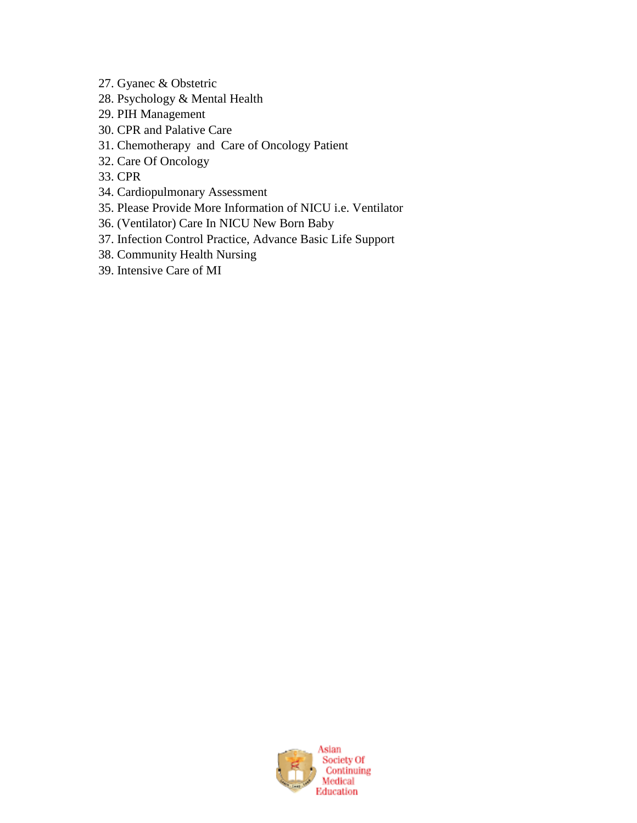- 27. Gyanec & Obstetric
- 28. Psychology & Mental Health
- 29. PIH Management
- 30. CPR and Palative Care
- 31. Chemotherapy and Care of Oncology Patient
- 32. Care Of Oncology
- 33. CPR
- 34. Cardiopulmonary Assessment
- 35. Please Provide More Information of NICU i.e. Ventilator
- 36. (Ventilator) Care In NICU New Born Baby
- 37. Infection Control Practice, Advance Basic Life Support
- 38. Community Health Nursing
- 39. Intensive Care of MI